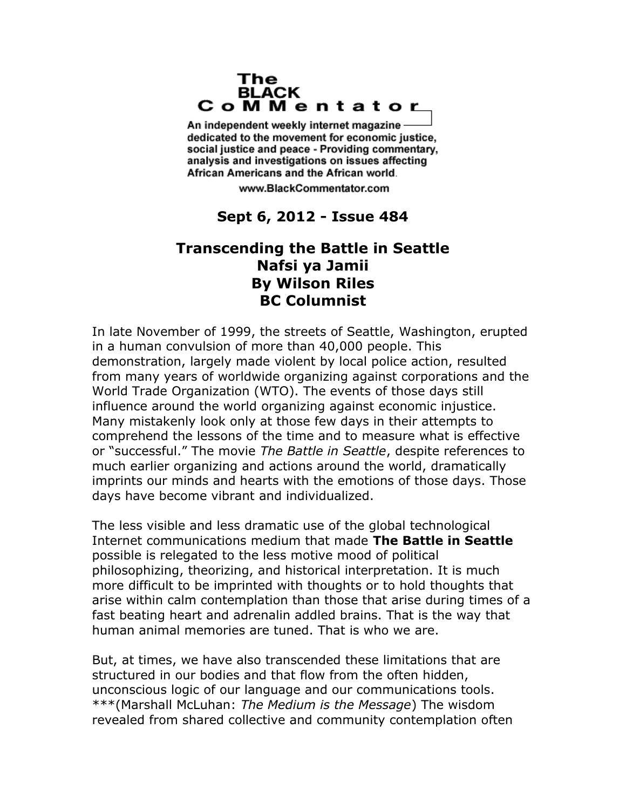## The **BLACK** CoMMentator

An independent weekly internet magazine dedicated to the movement for economic justice. social justice and peace - Providing commentary, analysis and investigations on issues affecting African Americans and the African world.

www.BlackCommentator.com

## **Sept 6, 2012 - Issue 484**

## **Transcending the Battle in Seattle Nafsi ya Jamii By Wilson Riles BC Columnist**

In late November of 1999, the streets of Seattle, Washington, erupted in a human convulsion of more than 40,000 people. This demonstration, largely made violent by local police action, resulted from many years of worldwide organizing against corporations and the World Trade Organization (WTO). The events of those days still influence around the world organizing against economic injustice. Many mistakenly look only at those few days in their attempts to comprehend the lessons of the time and to measure what is effective or "successful." The movie *The Battle in Seattle*, despite references to much earlier organizing and actions around the world, dramatically imprints our minds and hearts with the emotions of those days. Those days have become vibrant and individualized.

The less visible and less dramatic use of the global technological Internet communications medium that made **The Battle in Seattle** possible is relegated to the less motive mood of political philosophizing, theorizing, and historical interpretation. It is much more difficult to be imprinted with thoughts or to hold thoughts that arise within calm contemplation than those that arise during times of a fast beating heart and adrenalin addled brains. That is the way that human animal memories are tuned. That is who we are.

But, at times, we have also transcended these limitations that are structured in our bodies and that flow from the often hidden, unconscious logic of our language and our communications tools. \*\*\*(Marshall McLuhan: *The Medium is the Message*) The wisdom revealed from shared collective and community contemplation often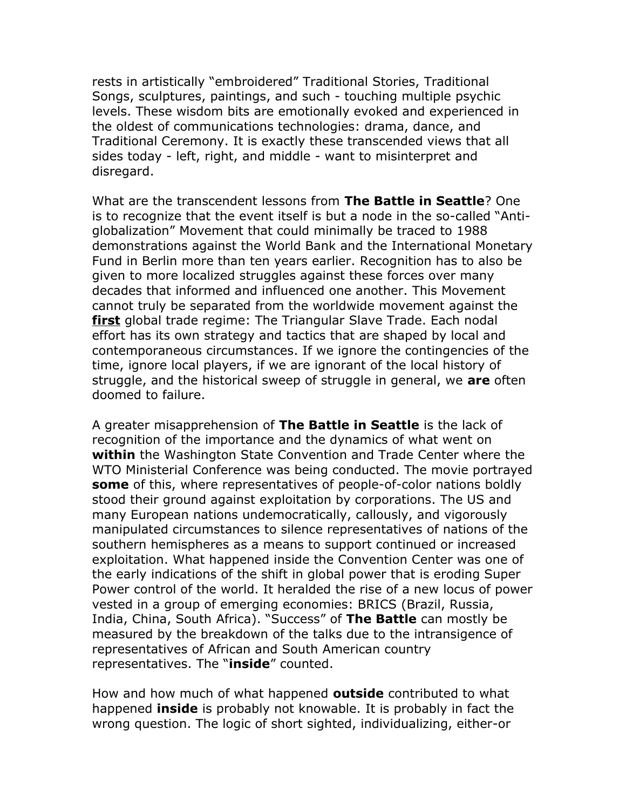rests in artistically "embroidered" Traditional Stories, Traditional Songs, sculptures, paintings, and such - touching multiple psychic levels. These wisdom bits are emotionally evoked and experienced in the oldest of communications technologies: drama, dance, and Traditional Ceremony. It is exactly these transcended views that all sides today - left, right, and middle - want to misinterpret and disregard.

What are the transcendent lessons from **The Battle in Seattle**? One is to recognize that the event itself is but a node in the so-called "Antiglobalization" Movement that could minimally be traced to 1988 demonstrations against the World Bank and the International Monetary Fund in Berlin more than ten years earlier. Recognition has to also be given to more localized struggles against these forces over many decades that informed and influenced one another. This Movement cannot truly be separated from the worldwide movement against the **first** global trade regime: The Triangular Slave Trade. Each nodal effort has its own strategy and tactics that are shaped by local and contemporaneous circumstances. If we ignore the contingencies of the time, ignore local players, if we are ignorant of the local history of struggle, and the historical sweep of struggle in general, we **are** often doomed to failure.

A greater misapprehension of **The Battle in Seattle** is the lack of recognition of the importance and the dynamics of what went on **within** the Washington State Convention and Trade Center where the WTO Ministerial Conference was being conducted. The movie portrayed **some** of this, where representatives of people-of-color nations boldly stood their ground against exploitation by corporations. The US and many European nations undemocratically, callously, and vigorously manipulated circumstances to silence representatives of nations of the southern hemispheres as a means to support continued or increased exploitation. What happened inside the Convention Center was one of the early indications of the shift in global power that is eroding Super Power control of the world. It heralded the rise of a new locus of power vested in a group of emerging economies: BRICS (Brazil, Russia, India, China, South Africa). "Success" of **The Battle** can mostly be measured by the breakdown of the talks due to the intransigence of representatives of African and South American country representatives. The "**inside**" counted.

How and how much of what happened **outside** contributed to what happened **inside** is probably not knowable. It is probably in fact the wrong question. The logic of short sighted, individualizing, either-or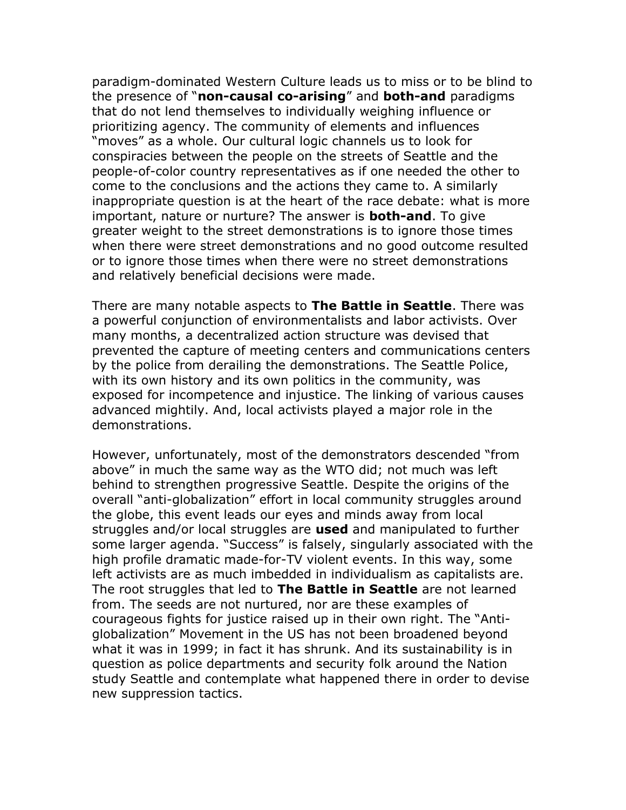paradigm-dominated Western Culture leads us to miss or to be blind to the presence of "**non-causal co-arising**" and **both-and** paradigms that do not lend themselves to individually weighing influence or prioritizing agency. The community of elements and influences "moves" as a whole. Our cultural logic channels us to look for conspiracies between the people on the streets of Seattle and the people-of-color country representatives as if one needed the other to come to the conclusions and the actions they came to. A similarly inappropriate question is at the heart of the race debate: what is more important, nature or nurture? The answer is **both-and**. To give greater weight to the street demonstrations is to ignore those times when there were street demonstrations and no good outcome resulted or to ignore those times when there were no street demonstrations and relatively beneficial decisions were made.

There are many notable aspects to **The Battle in Seattle**. There was a powerful conjunction of environmentalists and labor activists. Over many months, a decentralized action structure was devised that prevented the capture of meeting centers and communications centers by the police from derailing the demonstrations. The Seattle Police, with its own history and its own politics in the community, was exposed for incompetence and injustice. The linking of various causes advanced mightily. And, local activists played a major role in the demonstrations.

However, unfortunately, most of the demonstrators descended "from above" in much the same way as the WTO did; not much was left behind to strengthen progressive Seattle. Despite the origins of the overall "anti-globalization" effort in local community struggles around the globe, this event leads our eyes and minds away from local struggles and/or local struggles are **used** and manipulated to further some larger agenda. "Success" is falsely, singularly associated with the high profile dramatic made-for-TV violent events. In this way, some left activists are as much imbedded in individualism as capitalists are. The root struggles that led to **The Battle in Seattle** are not learned from. The seeds are not nurtured, nor are these examples of courageous fights for justice raised up in their own right. The "Antiglobalization" Movement in the US has not been broadened beyond what it was in 1999; in fact it has shrunk. And its sustainability is in question as police departments and security folk around the Nation study Seattle and contemplate what happened there in order to devise new suppression tactics.